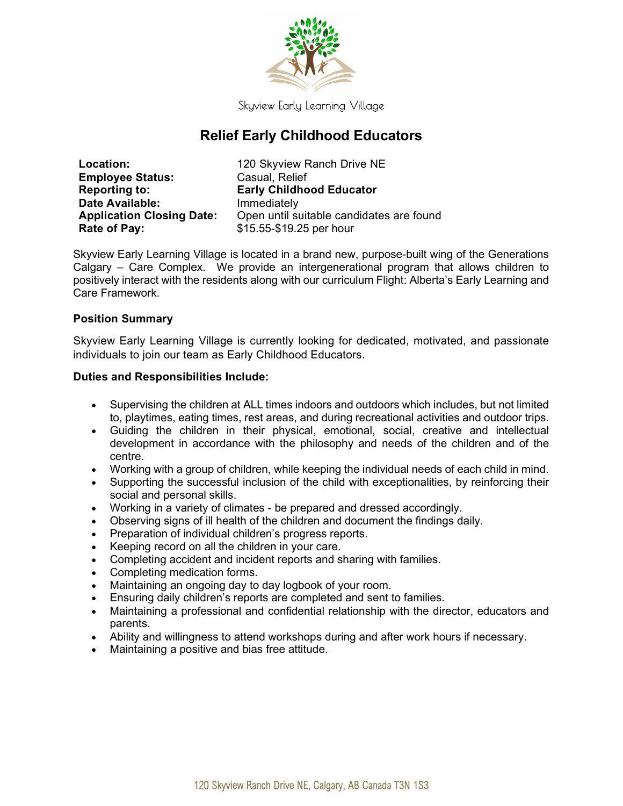

Skyview Early Learning Village

# Relief Early Childhood Educators

| <b>Location:</b>                 | 120 Skyview Ranch Drive NE               |
|----------------------------------|------------------------------------------|
| <b>Employee Status:</b>          | Casual, Relief                           |
| <b>Reporting to:</b>             | <b>Early Childhood Educator</b>          |
| Date Available:                  | Immediately                              |
| <b>Application Closing Date:</b> | Open until suitable candidates are found |
| Rate of Pay:                     | \$15.55-\$19.25 per hour                 |

Skyview Early Learning Village is located in a brand new, purpose-built wing of the Generations Calgary – Care Complex. We provide an intergenerational program that allows children to positively interact with the residents along with our curriculum Flight: Alberta's Early Learning and Care Framework.

## Position Summary

Skyview Early Learning Village is currently looking for dedicated, motivated, and passionate individuals to join our team as Early Childhood Educators.

## Duties and Responsibilities Include:

- Supervising the children at ALL times indoors and outdoors which includes, but not limited to, playtimes, eating times, rest areas, and during recreational activities and outdoor trips.
- Guiding the children in their physical, emotional, social, creative and intellectual development in accordance with the philosophy and needs of the children and of the centre.
- Working with a group of children, while keeping the individual needs of each child in mind.
- Supporting the successful inclusion of the child with exceptionalities, by reinforcing their social and personal skills.
- Working in a variety of climates be prepared and dressed accordingly.
- Observing signs of ill health of the children and document the findings daily.
- Preparation of individual children's progress reports.
- Keeping record on all the children in your care.
- Completing accident and incident reports and sharing with families.
- Completing medication forms.
- Maintaining an ongoing day to day logbook of your room.
- Ensuring daily children's reports are completed and sent to families.
- Maintaining a professional and confidential relationship with the director, educators and parents.
- Ability and willingness to attend workshops during and after work hours if necessary.
- Maintaining a positive and bias free attitude.